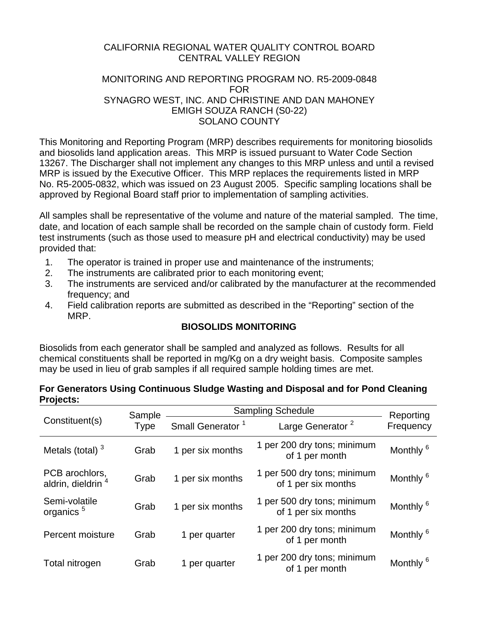## CALIFORNIA REGIONAL WATER QUALITY CONTROL BOARD CENTRAL VALLEY REGION

### MONITORING AND REPORTING PROGRAM NO. R5-2009-0848 FOR SYNAGRO WEST, INC. AND CHRISTINE AND DAN MAHONEY EMIGH SOUZA RANCH (S0-22) SOLANO COUNTY

This Monitoring and Reporting Program (MRP) describes requirements for monitoring biosolids and biosolids land application areas. This MRP is issued pursuant to Water Code Section 13267. The Discharger shall not implement any changes to this MRP unless and until a revised MRP is issued by the Executive Officer. This MRP replaces the requirements listed in MRP No. R5-2005-0832, which was issued on 23 August 2005. Specific sampling locations shall be approved by Regional Board staff prior to implementation of sampling activities.

All samples shall be representative of the volume and nature of the material sampled. The time, date, and location of each sample shall be recorded on the sample chain of custody form. Field test instruments (such as those used to measure pH and electrical conductivity) may be used provided that:

- 1. The operator is trained in proper use and maintenance of the instruments;
- 2. The instruments are calibrated prior to each monitoring event;
- 3. The instruments are serviced and/or calibrated by the manufacturer at the recommended frequency; and
- 4. Field calibration reports are submitted as described in the "Reporting" section of the MRP.

## **BIOSOLIDS MONITORING**

Biosolids from each generator shall be sampled and analyzed as follows. Results for all chemical constituents shall be reported in mg/Kg on a dry weight basis. Composite samples may be used in lieu of grab samples if all required sample holding times are met.

| For Generators Using Continuous Sludge Wasting and Disposal and for Pond Cleaning |  |
|-----------------------------------------------------------------------------------|--|
| Projects:                                                                         |  |

|                                                 | Sample                       | <b>Sampling Schedule</b>     | Reporting                                          |                      |
|-------------------------------------------------|------------------------------|------------------------------|----------------------------------------------------|----------------------|
| Constituent(s)<br><b>Type</b>                   | Small Generator <sup>1</sup> | Large Generator <sup>2</sup> | Frequency                                          |                      |
| Metals (total) $3$                              | Grab                         | 1 per six months             | 1 per 200 dry tons; minimum<br>of 1 per month      | Monthly <sup>6</sup> |
| PCB arochlors,<br>aldrin, dieldrin <sup>4</sup> | Grab                         | 1 per six months             | 1 per 500 dry tons; minimum<br>of 1 per six months | Monthly <sup>6</sup> |
| Semi-volatile<br>organics <sup>5</sup>          | Grab                         | 1 per six months             | 1 per 500 dry tons; minimum<br>of 1 per six months | Monthly <sup>6</sup> |
| Percent moisture                                | Grab                         | 1 per quarter                | 1 per 200 dry tons; minimum<br>of 1 per month      | Monthly <sup>6</sup> |
| Total nitrogen                                  | Grab                         | 1 per quarter                | 1 per 200 dry tons; minimum<br>of 1 per month      | Monthly <sup>6</sup> |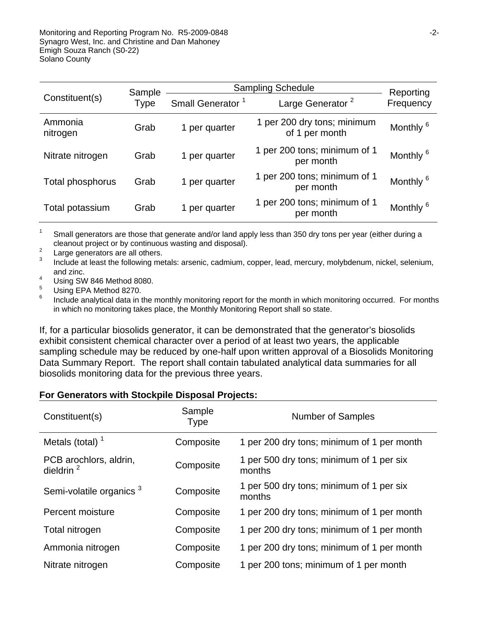| Sample                        |                              | <b>Sampling Schedule</b>     | Reporting                                     |                      |
|-------------------------------|------------------------------|------------------------------|-----------------------------------------------|----------------------|
| Constituent(s)<br><b>Type</b> | Small Generator <sup>1</sup> | Large Generator <sup>2</sup> | Frequency                                     |                      |
| Ammonia<br>nitrogen           | Grab                         | 1 per quarter                | 1 per 200 dry tons; minimum<br>of 1 per month | Monthly <sup>6</sup> |
| Nitrate nitrogen              | Grab                         | 1 per quarter                | 1 per 200 tons; minimum of 1<br>per month     | Monthly <sup>6</sup> |
| Total phosphorus              | Grab                         | 1 per quarter                | 1 per 200 tons; minimum of 1<br>per month     | Monthly <sup>6</sup> |
| Total potassium               | Grab                         | 1 per quarter                | 1 per 200 tons; minimum of 1<br>per month     | Monthly <sup>6</sup> |

1 Small generators are those that generate and/or land apply less than 350 dry tons per year (either during a cleanout project or by continuous wasting and disposal).

2 Large generators are all others.

3 Include at least the following metals: arsenic, cadmium, copper, lead, mercury, molybdenum, nickel, selenium, and zinc.

4 Using SW 846 Method 8080.

5 Using EPA Method 8270.

6 Include analytical data in the monthly monitoring report for the month in which monitoring occurred. For months in which no monitoring takes place, the Monthly Monitoring Report shall so state.

If, for a particular biosolids generator, it can be demonstrated that the generator's biosolids exhibit consistent chemical character over a period of at least two years, the applicable sampling schedule may be reduced by one-half upon written approval of a Biosolids Monitoring Data Summary Report. The report shall contain tabulated analytical data summaries for all biosolids monitoring data for the previous three years.

#### **For Generators with Stockpile Disposal Projects:**

| Constituent(s)                         | Sample<br>Type | <b>Number of Samples</b>                           |
|----------------------------------------|----------------|----------------------------------------------------|
| Metals (total) $1$                     | Composite      | 1 per 200 dry tons; minimum of 1 per month         |
| PCB arochlors, aldrin,<br>dieldrin $2$ | Composite      | 1 per 500 dry tons; minimum of 1 per six<br>months |
| Semi-volatile organics <sup>3</sup>    | Composite      | 1 per 500 dry tons; minimum of 1 per six<br>months |
| Percent moisture                       | Composite      | 1 per 200 dry tons; minimum of 1 per month         |
| Total nitrogen                         | Composite      | 1 per 200 dry tons; minimum of 1 per month         |
| Ammonia nitrogen                       | Composite      | 1 per 200 dry tons; minimum of 1 per month         |
| Nitrate nitrogen                       | Composite      | 1 per 200 tons; minimum of 1 per month             |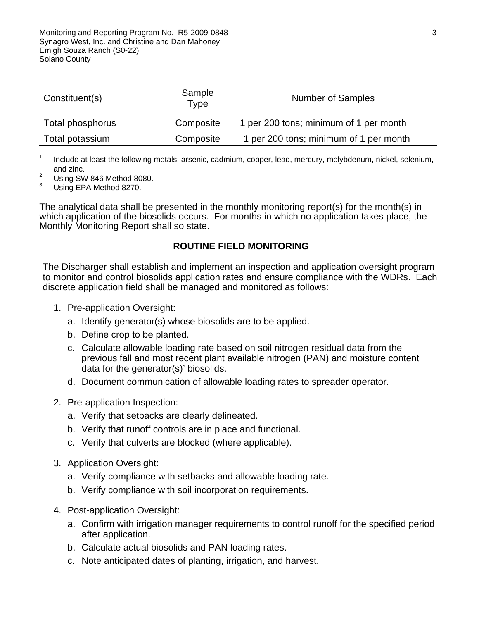| Constituent(s)   | Sample<br>Type | <b>Number of Samples</b>               |
|------------------|----------------|----------------------------------------|
| Total phosphorus | Composite      | 1 per 200 tons; minimum of 1 per month |
| Total potassium  | Composite      | 1 per 200 tons; minimum of 1 per month |

1 Include at least the following metals: arsenic, cadmium, copper, lead, mercury, molybdenum, nickel, selenium, and zinc.

- 2 Using SW 846 Method 8080.
- 3 Using EPA Method 8270.

The analytical data shall be presented in the monthly monitoring report(s) for the month(s) in which application of the biosolids occurs. For months in which no application takes place, the Monthly Monitoring Report shall so state.

#### **ROUTINE FIELD MONITORING**

The Discharger shall establish and implement an inspection and application oversight program to monitor and control biosolids application rates and ensure compliance with the WDRs. Each discrete application field shall be managed and monitored as follows:

- 1. Pre-application Oversight:
	- a. Identify generator(s) whose biosolids are to be applied.
	- b. Define crop to be planted.
	- c. Calculate allowable loading rate based on soil nitrogen residual data from the previous fall and most recent plant available nitrogen (PAN) and moisture content data for the generator(s)' biosolids.
	- d. Document communication of allowable loading rates to spreader operator.
- 2. Pre-application Inspection:
	- a. Verify that setbacks are clearly delineated.
	- b. Verify that runoff controls are in place and functional.
	- c. Verify that culverts are blocked (where applicable).
- 3. Application Oversight:
	- a. Verify compliance with setbacks and allowable loading rate.
	- b. Verify compliance with soil incorporation requirements.
- 4. Post-application Oversight:
	- a. Confirm with irrigation manager requirements to control runoff for the specified period after application.
	- b. Calculate actual biosolids and PAN loading rates.
	- c. Note anticipated dates of planting, irrigation, and harvest.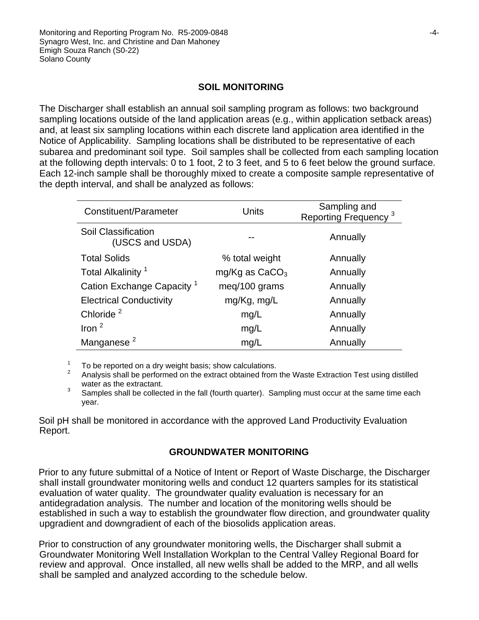### **SOIL MONITORING**

The Discharger shall establish an annual soil sampling program as follows: two background sampling locations outside of the land application areas (e.g., within application setback areas) and, at least six sampling locations within each discrete land application area identified in the Notice of Applicability. Sampling locations shall be distributed to be representative of each subarea and predominant soil type. Soil samples shall be collected from each sampling location at the following depth intervals: 0 to 1 foot, 2 to 3 feet, and 5 to 6 feet below the ground surface. Each 12-inch sample shall be thoroughly mixed to create a composite sample representative of the depth interval, and shall be analyzed as follows:

| Constituent/Parameter                  | Units            | Sampling and<br>Reporting Frequency <sup>3</sup> |
|----------------------------------------|------------------|--------------------------------------------------|
| Soil Classification<br>(USCS and USDA) |                  | Annually                                         |
| <b>Total Solids</b>                    | % total weight   | Annually                                         |
| Total Alkalinity <sup>1</sup>          | mg/Kg as $CaCO3$ | Annually                                         |
| Cation Exchange Capacity <sup>1</sup>  | meq/100 grams    | Annually                                         |
| <b>Electrical Conductivity</b>         | mg/Kg, mg/L      | Annually                                         |
| Chloride <sup>2</sup>                  | mg/L             | Annually                                         |
| Iron $2$                               | mg/L             | Annually                                         |
| Manganese <sup>2</sup>                 | mg/L             | Annually                                         |

<sup>1</sup> To be reported on a dry weight basis; show calculations.<br><sup>2</sup> Analysis shall be performed on the extract obtained from the Waste Extraction Test using distilled water as the extractant.

3 Samples shall be collected in the fall (fourth quarter). Sampling must occur at the same time each year.

Soil pH shall be monitored in accordance with the approved Land Productivity Evaluation Report.

#### **GROUNDWATER MONITORING**

Prior to any future submittal of a Notice of Intent or Report of Waste Discharge, the Discharger shall install groundwater monitoring wells and conduct 12 quarters samples for its statistical evaluation of water quality. The groundwater quality evaluation is necessary for an antidegradation analysis. The number and location of the monitoring wells should be established in such a way to establish the groundwater flow direction, and groundwater quality upgradient and downgradient of each of the biosolids application areas.

Prior to construction of any groundwater monitoring wells, the Discharger shall submit a Groundwater Monitoring Well Installation Workplan to the Central Valley Regional Board for review and approval. Once installed, all new wells shall be added to the MRP, and all wells shall be sampled and analyzed according to the schedule below.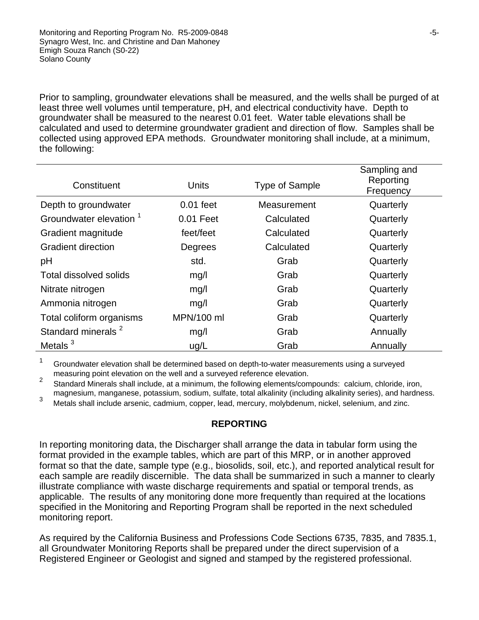Prior to sampling, groundwater elevations shall be measured, and the wells shall be purged of at least three well volumes until temperature, pH, and electrical conductivity have. Depth to groundwater shall be measured to the nearest 0.01 feet. Water table elevations shall be calculated and used to determine groundwater gradient and direction of flow. Samples shall be collected using approved EPA methods. Groundwater monitoring shall include, at a minimum, the following:

| Constituent                        | Units       | <b>Type of Sample</b> | Sampling and<br>Reporting<br>Frequency |
|------------------------------------|-------------|-----------------------|----------------------------------------|
| Depth to groundwater               | $0.01$ feet | Measurement           | Quarterly                              |
| Groundwater elevation <sup>1</sup> | 0.01 Feet   | Calculated            | Quarterly                              |
| Gradient magnitude                 | feet/feet   | Calculated            | Quarterly                              |
| <b>Gradient direction</b>          | Degrees     | Calculated            | Quarterly                              |
| рH                                 | std.        | Grab                  | Quarterly                              |
| Total dissolved solids             | mg/l        | Grab                  | Quarterly                              |
| Nitrate nitrogen                   | mg/l        | Grab                  | Quarterly                              |
| Ammonia nitrogen                   | mg/l        | Grab                  | Quarterly                              |
| Total coliform organisms           | MPN/100 ml  | Grab                  | Quarterly                              |
| Standard minerals <sup>2</sup>     | mg/l        | Grab                  | Annually                               |
| Metals $3$                         | uq/L        | Grab                  | Annually                               |

1 Groundwater elevation shall be determined based on depth-to-water measurements using a surveyed

measuring point elevation on the well and a surveyed reference elevation.<br><sup>2</sup> Standard Minerals shall include, at a minimum, the following elements/compounds: calcium, chloride, iron, magnesium, manganese, potassium, sodium, sulfate, total alkalinity (including alkalinity series), and hardness.

Metals shall include arsenic, cadmium, copper, lead, mercury, molybdenum, nickel, selenium, and zinc.

#### **REPORTING**

In reporting monitoring data, the Discharger shall arrange the data in tabular form using the format provided in the example tables, which are part of this MRP, or in another approved format so that the date, sample type (e.g., biosolids, soil, etc.), and reported analytical result for each sample are readily discernible. The data shall be summarized in such a manner to clearly illustrate compliance with waste discharge requirements and spatial or temporal trends, as applicable. The results of any monitoring done more frequently than required at the locations specified in the Monitoring and Reporting Program shall be reported in the next scheduled monitoring report.

As required by the California Business and Professions Code Sections 6735, 7835, and 7835.1, all Groundwater Monitoring Reports shall be prepared under the direct supervision of a Registered Engineer or Geologist and signed and stamped by the registered professional.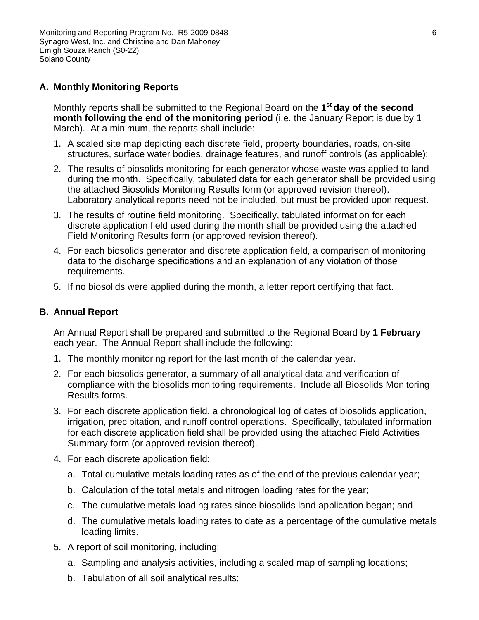# **A. Monthly Monitoring Reports**

Monthly reports shall be submitted to the Regional Board on the **1st day of the second month following the end of the monitoring period** (i.e. the January Report is due by 1 March). At a minimum, the reports shall include:

- 1. A scaled site map depicting each discrete field, property boundaries, roads, on-site structures, surface water bodies, drainage features, and runoff controls (as applicable);
- 2. The results of biosolids monitoring for each generator whose waste was applied to land during the month. Specifically, tabulated data for each generator shall be provided using the attached Biosolids Monitoring Results form (or approved revision thereof). Laboratory analytical reports need not be included, but must be provided upon request.
- 3. The results of routine field monitoring. Specifically, tabulated information for each discrete application field used during the month shall be provided using the attached Field Monitoring Results form (or approved revision thereof).
- 4. For each biosolids generator and discrete application field, a comparison of monitoring data to the discharge specifications and an explanation of any violation of those requirements.
- 5. If no biosolids were applied during the month, a letter report certifying that fact.

## **B. Annual Report**

An Annual Report shall be prepared and submitted to the Regional Board by **1 February** each year. The Annual Report shall include the following:

- 1. The monthly monitoring report for the last month of the calendar year.
- 2. For each biosolids generator, a summary of all analytical data and verification of compliance with the biosolids monitoring requirements. Include all Biosolids Monitoring Results forms.
- 3. For each discrete application field, a chronological log of dates of biosolids application, irrigation, precipitation, and runoff control operations. Specifically, tabulated information for each discrete application field shall be provided using the attached Field Activities Summary form (or approved revision thereof).
- 4. For each discrete application field:
	- a. Total cumulative metals loading rates as of the end of the previous calendar year;
	- b. Calculation of the total metals and nitrogen loading rates for the year;
	- c. The cumulative metals loading rates since biosolids land application began; and
	- d. The cumulative metals loading rates to date as a percentage of the cumulative metals loading limits.
- 5. A report of soil monitoring, including:
	- a. Sampling and analysis activities, including a scaled map of sampling locations;
	- b. Tabulation of all soil analytical results;